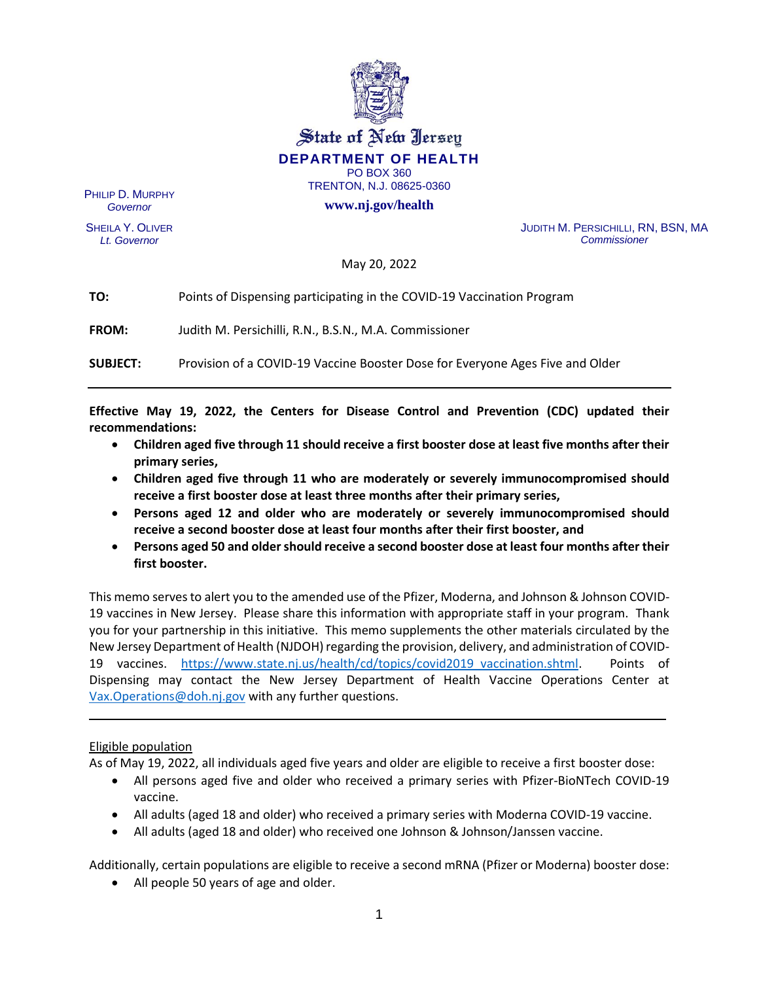

State of New Jersey **DEPARTMENT OF HEALTH** PO BOX 360

TRENTON, N.J. 08625-0360

**www.nj.gov/health**

PHILIP D. MURPHY *Governor*

SHEILA Y. OLIVER *Lt. Governor*

JUDITH M. PERSICHILLI, RN, BSN, MA *Commissioner*

May 20, 2022

| TO:             | Points of Dispensing participating in the COVID-19 Vaccination Program        |
|-----------------|-------------------------------------------------------------------------------|
| <b>FROM:</b>    | Judith M. Persichilli, R.N., B.S.N., M.A. Commissioner                        |
| <b>SUBJECT:</b> | Provision of a COVID-19 Vaccine Booster Dose for Everyone Ages Five and Older |

**Effective May 19, 2022, the Centers for Disease Control and Prevention (CDC) updated their recommendations:**

- **Children aged five through 11 should receive a first booster dose at least five months after their primary series,**
- **Children aged five through 11 who are moderately or severely immunocompromised should receive a first booster dose at least three months after their primary series,**
- **Persons aged 12 and older who are moderately or severely immunocompromised should receive a second booster dose at least four months after their first booster, and**
- **Persons aged 50 and oldershould receive a second booster dose at least four months after their first booster.**

This memo serves to alert you to the amended use of the Pfizer, Moderna, and Johnson & Johnson COVID-19 vaccines in New Jersey. Please share this information with appropriate staff in your program.Thank you for your partnership in this initiative. This memo supplements the other materials circulated by the New Jersey Department of Health (NJDOH) regarding the provision, delivery, and administration of COVID-19 vaccines. [https://www.state.nj.us/health/cd/topics/covid2019\\_vaccination.shtml.](https://www.state.nj.us/health/cd/topics/covid2019_vaccination.shtml) Points of Dispensing may contact the New Jersey Department of Health Vaccine Operations Center at [Vax.Operations@doh.nj.gov](mailto:Vax.Operations@doh.nj.gov) with any further questions.

# Eligible population

As of May 19, 2022, all individuals aged five years and older are eligible to receive a first booster dose:

\_\_\_\_\_\_\_\_\_\_\_\_\_\_\_\_\_\_\_\_\_\_\_\_\_\_\_\_\_\_\_\_\_\_\_\_\_\_\_\_\_\_\_\_\_\_\_\_\_\_\_\_\_\_\_\_\_\_\_\_\_\_\_\_\_\_\_\_\_\_\_\_\_\_\_\_\_\_\_\_\_\_\_\_\_

- All persons aged five and older who received a primary series with Pfizer-BioNTech COVID-19 vaccine.
- All adults (aged 18 and older) who received a primary series with Moderna COVID-19 vaccine.
- All adults (aged 18 and older) who received one Johnson & Johnson/Janssen vaccine.

Additionally, certain populations are eligible to receive a second mRNA (Pfizer or Moderna) booster dose:

• All people 50 years of age and older.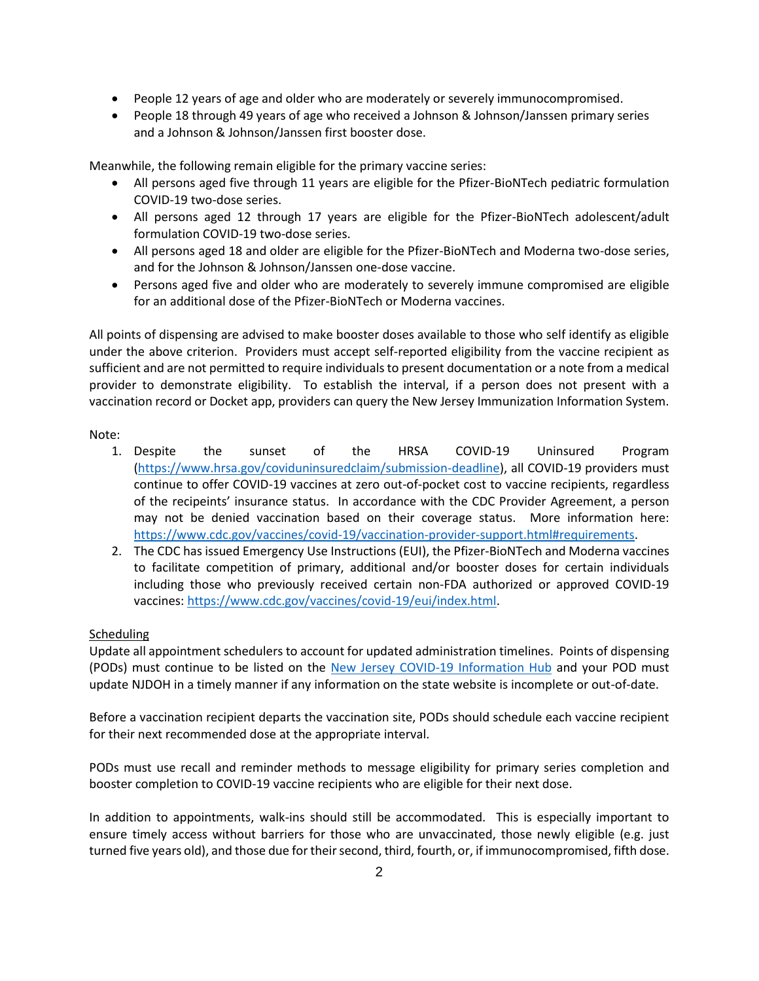- People 12 years of age and older who are moderately or severely immunocompromised.
- People 18 through 49 years of age who received a Johnson & Johnson/Janssen primary series and a Johnson & Johnson/Janssen first booster dose.

Meanwhile, the following remain eligible for the primary vaccine series:

- All persons aged five through 11 years are eligible for the Pfizer-BioNTech pediatric formulation COVID-19 two-dose series.
- All persons aged 12 through 17 years are eligible for the Pfizer-BioNTech adolescent/adult formulation COVID-19 two-dose series.
- All persons aged 18 and older are eligible for the Pfizer-BioNTech and Moderna two-dose series, and for the Johnson & Johnson/Janssen one-dose vaccine.
- Persons aged five and older who are moderately to severely immune compromised are eligible for an additional dose of the Pfizer-BioNTech or Moderna vaccines.

All points of dispensing are advised to make booster doses available to those who self identify as eligible under the above criterion. Providers must accept self-reported eligibility from the vaccine recipient as sufficient and are not permitted to require individuals to present documentation or a note from a medical provider to demonstrate eligibility. To establish the interval, if a person does not present with a vaccination record or Docket app, providers can query the New Jersey Immunization Information System.

## Note:

- 1. Despite the sunset of the HRSA COVID-19 Uninsured Program [\(https://www.hrsa.gov/coviduninsuredclaim/submission-deadline\)](https://www.hrsa.gov/coviduninsuredclaim/submission-deadline), all COVID-19 providers must continue to offer COVID-19 vaccines at zero out-of-pocket cost to vaccine recipients, regardless of the recipeints' insurance status. In accordance with the CDC Provider Agreement, a person may not be denied vaccination based on their coverage status. More information here: [https://www.cdc.gov/vaccines/covid-19/vaccination-provider-support.html#requirements.](https://www.cdc.gov/vaccines/covid-19/vaccination-provider-support.html#requirements)
- 2. The CDC has issued Emergency Use Instructions (EUI), the Pfizer-BioNTech and Moderna vaccines to facilitate competition of primary, additional and/or booster doses for certain individuals including those who previously received certain non-FDA authorized or approved COVID-19 vaccines: [https://www.cdc.gov/vaccines/covid-19/eui/index.html.](https://www.cdc.gov/vaccines/covid-19/eui/index.html)

## Scheduling

Update all appointment schedulers to account for updated administration timelines. Points of dispensing (PODs) must continue to be listed on the [New Jersey COVID-19 Information Hub](https://covid19.nj.gov/pages/covid-19-vaccine-locations-for-eligible-recipients) and your POD must update NJDOH in a timely manner if any information on the state website is incomplete or out-of-date.

Before a vaccination recipient departs the vaccination site, PODs should schedule each vaccine recipient for their next recommended dose at the appropriate interval.

PODs must use recall and reminder methods to message eligibility for primary series completion and booster completion to COVID-19 vaccine recipients who are eligible for their next dose.

In addition to appointments, walk-ins should still be accommodated. This is especially important to ensure timely access without barriers for those who are unvaccinated, those newly eligible (e.g. just turned five years old), and those due for their second, third, fourth, or, if immunocompromised, fifth dose.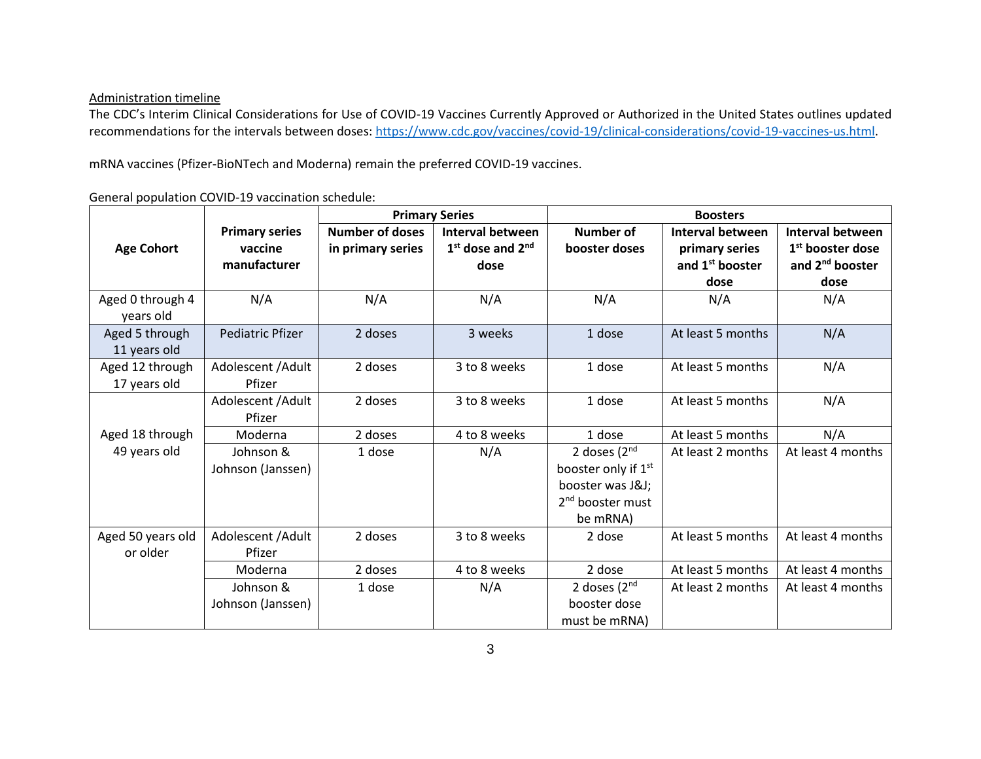#### Administration timeline

The CDC's Interim Clinical Considerations for Use of COVID-19 Vaccines Currently Approved or Authorized in the United States outlines updated recommendations for the intervals between doses: [https://www.cdc.gov/vaccines/covid-19/clinical-considerations/covid-19-vaccines-us.html.](https://www.cdc.gov/vaccines/covid-19/clinical-considerations/covid-19-vaccines-us.html)

mRNA vaccines (Pfizer-BioNTech and Moderna) remain the preferred COVID-19 vaccines.

General population COVID-19 vaccination schedule:

|                   |                         | <b>Primary Series</b>  |                         | <b>Boosters</b>                 |                             |                              |  |
|-------------------|-------------------------|------------------------|-------------------------|---------------------------------|-----------------------------|------------------------------|--|
|                   | <b>Primary series</b>   | <b>Number of doses</b> | <b>Interval between</b> | Number of                       | <b>Interval between</b>     | <b>Interval between</b>      |  |
| <b>Age Cohort</b> | vaccine                 | in primary series      | $1st$ dose and $2nd$    | booster doses                   | primary series              | 1 <sup>st</sup> booster dose |  |
|                   | manufacturer            |                        | dose                    |                                 | and 1 <sup>st</sup> booster | and 2 <sup>nd</sup> booster  |  |
|                   |                         |                        |                         |                                 | dose                        | dose                         |  |
| Aged 0 through 4  | N/A                     | N/A                    | N/A                     | N/A                             | N/A                         | N/A                          |  |
| years old         |                         |                        |                         |                                 |                             |                              |  |
| Aged 5 through    | <b>Pediatric Pfizer</b> | 2 doses                | 3 weeks                 | 1 dose                          | At least 5 months           | N/A                          |  |
| 11 years old      |                         |                        |                         |                                 |                             |                              |  |
| Aged 12 through   | Adolescent / Adult      | 2 doses                | 3 to 8 weeks            | 1 dose                          | At least 5 months           | N/A                          |  |
| 17 years old      | Pfizer                  |                        |                         |                                 |                             |                              |  |
|                   | Adolescent / Adult      | 2 doses                | 3 to 8 weeks            | 1 dose                          | At least 5 months           | N/A                          |  |
|                   | Pfizer                  |                        |                         |                                 |                             |                              |  |
| Aged 18 through   | Moderna                 | 2 doses                | 4 to 8 weeks            | 1 dose                          | At least 5 months           | N/A                          |  |
| 49 years old      | Johnson &               | 1 dose                 | N/A                     | 2 doses $(2nd$                  | At least 2 months           | At least 4 months            |  |
|                   | Johnson (Janssen)       |                        |                         | booster only if 1 <sup>st</sup> |                             |                              |  |
|                   |                         |                        |                         | booster was J&J                 |                             |                              |  |
|                   |                         |                        |                         | 2 <sup>nd</sup> booster must    |                             |                              |  |
|                   |                         |                        |                         | be mRNA)                        |                             |                              |  |
| Aged 50 years old | Adolescent / Adult      | 2 doses                | 3 to 8 weeks            | 2 dose                          | At least 5 months           | At least 4 months            |  |
| or older          | Pfizer                  |                        |                         |                                 |                             |                              |  |
|                   | Moderna                 | 2 doses                | 4 to 8 weeks            | 2 dose                          | At least 5 months           | At least 4 months            |  |
|                   | Johnson &               | 1 dose                 | N/A                     | 2 doses $(2nd$                  | At least 2 months           | At least 4 months            |  |
|                   | Johnson (Janssen)       |                        |                         | booster dose                    |                             |                              |  |
|                   |                         |                        |                         | must be mRNA)                   |                             |                              |  |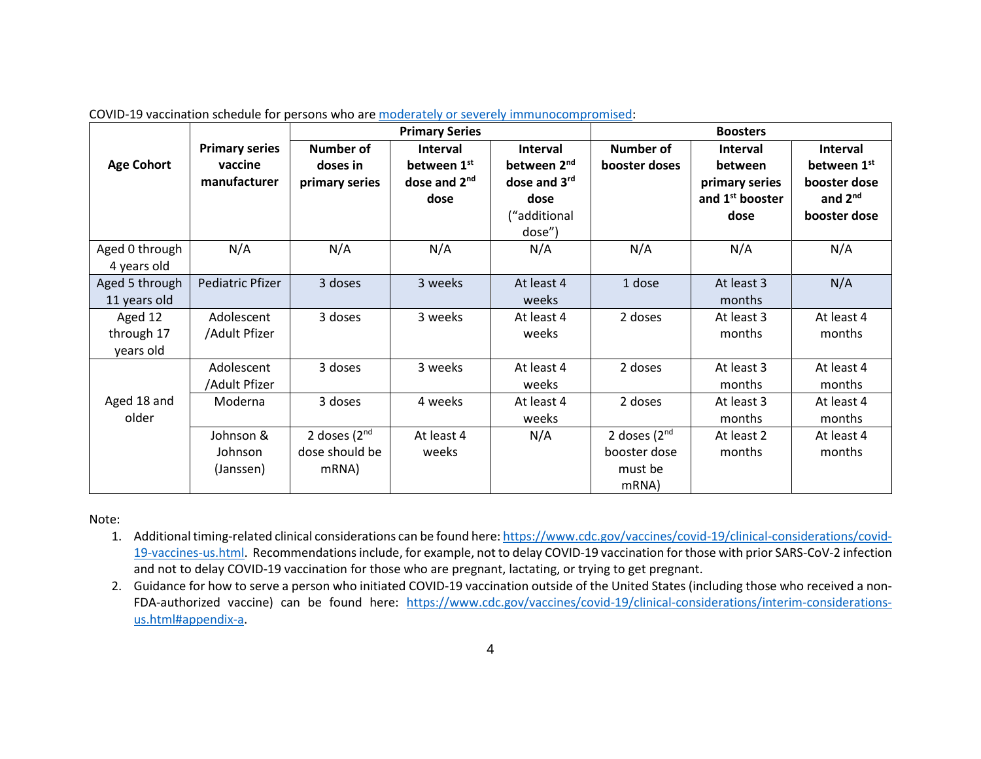|                   |                       | <b>Primary Series</b> |                   |                         | <b>Boosters</b>  |                             |                     |  |
|-------------------|-----------------------|-----------------------|-------------------|-------------------------|------------------|-----------------------------|---------------------|--|
|                   | <b>Primary series</b> | <b>Number of</b>      | Interval          | Interval                | <b>Number of</b> | Interval                    | Interval            |  |
| <b>Age Cohort</b> | vaccine               | doses in              | between 1st       | between 2 <sup>nd</sup> | booster doses    | between                     | between 1st         |  |
|                   | manufacturer          | primary series        | dose and $2^{nd}$ | dose and 3rd            |                  | primary series              | booster dose        |  |
|                   |                       |                       | dose              | dose                    |                  | and 1 <sup>st</sup> booster | and 2 <sup>nd</sup> |  |
|                   |                       |                       |                   | ("additional            |                  | dose                        | booster dose        |  |
|                   |                       |                       |                   | dose")                  |                  |                             |                     |  |
| Aged 0 through    | N/A                   | N/A                   | N/A               | N/A                     | N/A              | N/A                         | N/A                 |  |
| 4 years old       |                       |                       |                   |                         |                  |                             |                     |  |
| Aged 5 through    | Pediatric Pfizer      | 3 doses               | 3 weeks           | At least 4              | 1 dose           | At least 3                  | N/A                 |  |
| 11 years old      |                       |                       |                   | weeks                   |                  | months                      |                     |  |
| Aged 12           | Adolescent            | 3 doses               | 3 weeks           | At least 4              | 2 doses          | At least 3                  | At least 4          |  |
| through 17        | /Adult Pfizer         |                       |                   | weeks                   |                  | months                      | months              |  |
| years old         |                       |                       |                   |                         |                  |                             |                     |  |
|                   | Adolescent            | 3 doses               | 3 weeks           | At least 4              | 2 doses          | At least 3                  | At least 4          |  |
|                   | /Adult Pfizer         |                       |                   | weeks                   |                  | months                      | months              |  |
| Aged 18 and       | Moderna               | 3 doses               | 4 weeks           | At least 4              | 2 doses          | At least 3                  | At least 4          |  |
| older             |                       |                       |                   | weeks                   |                  | months                      | months              |  |
|                   | Johnson &             | 2 doses $(2nd$        | At least 4        | N/A                     | 2 doses $(2nd$   | At least 2                  | At least 4          |  |
|                   | Johnson               | dose should be        | weeks             |                         | booster dose     | months                      | months              |  |
|                   | (Janssen)             | mRNA)                 |                   |                         | must be          |                             |                     |  |
|                   |                       |                       |                   |                         | mRNA)            |                             |                     |  |

COVID-19 vaccination schedule for persons who are [moderately or severely immunocompromised:](https://www.cdc.gov/coronavirus/2019-ncov/vaccines/recommendations/immuno.html)

Note:

- 1. Additional timing-related clinical considerations can be found here: [https://www.cdc.gov/vaccines/covid-19/clinical-considerations/covid-](https://www.cdc.gov/vaccines/covid-19/clinical-considerations/covid-19-vaccines-us.html)[19-vaccines-us.html.](https://www.cdc.gov/vaccines/covid-19/clinical-considerations/covid-19-vaccines-us.html) Recommendations include, for example, not to delay COVID-19 vaccination for those with prior SARS-CoV-2 infection and not to delay COVID-19 vaccination for those who are pregnant, lactating, or trying to get pregnant.
- 2. Guidance for how to serve a person who initiated COVID-19 vaccination outside of the United States (including those who received a non-FDA-authorized vaccine) can be found here: [https://www.cdc.gov/vaccines/covid-19/clinical-considerations/interim-considerations](https://www.cdc.gov/vaccines/covid-19/clinical-considerations/interim-considerations-us.html#appendix-a)[us.html#appendix-a.](https://www.cdc.gov/vaccines/covid-19/clinical-considerations/interim-considerations-us.html#appendix-a)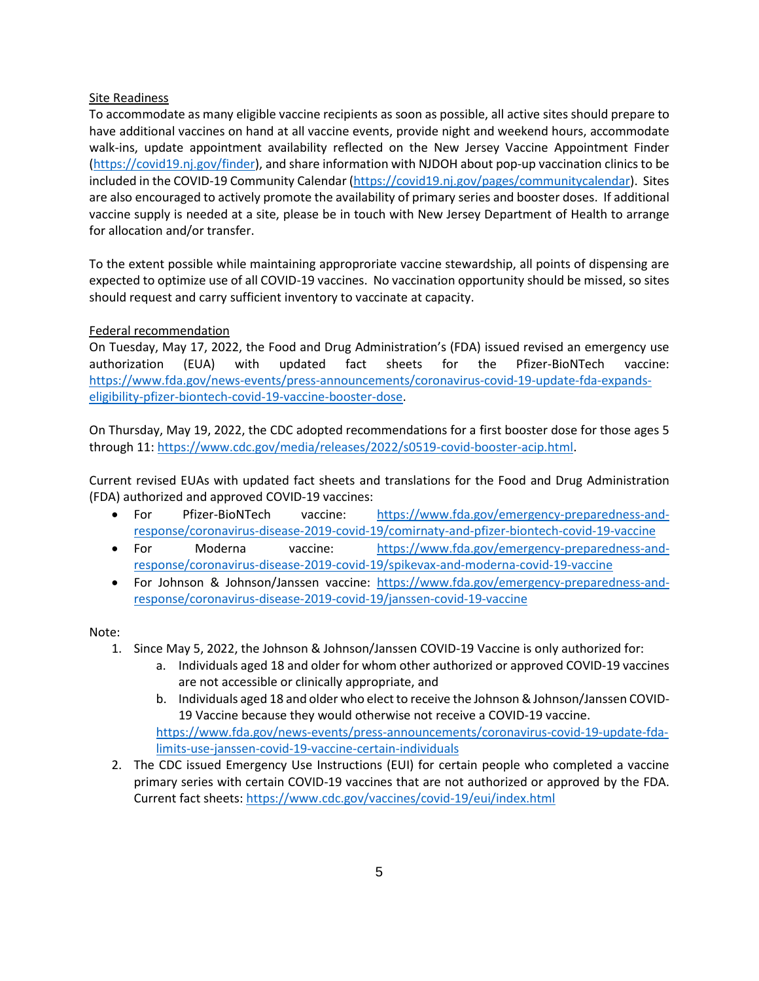### Site Readiness

To accommodate as many eligible vaccine recipients as soon as possible, all active sites should prepare to have additional vaccines on hand at all vaccine events, provide night and weekend hours, accommodate walk-ins, update appointment availability reflected on the New Jersey Vaccine Appointment Finder [\(https://covid19.nj.gov/finder\)](https://covid19.nj.gov/finder), and share information with NJDOH about pop-up vaccination clinics to be included in the COVID-19 Community Calendar [\(https://covid19.nj.gov/pages/communitycalendar\)](https://covid19.nj.gov/pages/communitycalendar). Sites are also encouraged to actively promote the availability of primary series and booster doses. If additional vaccine supply is needed at a site, please be in touch with New Jersey Department of Health to arrange for allocation and/or transfer.

To the extent possible while maintaining approproriate vaccine stewardship, all points of dispensing are expected to optimize use of all COVID-19 vaccines. No vaccination opportunity should be missed, so sites should request and carry sufficient inventory to vaccinate at capacity.

### Federal recommendation

On Tuesday, May 17, 2022, the Food and Drug Administration's (FDA) issued revised an emergency use authorization (EUA) with updated fact sheets for the Pfizer-BioNTech vaccine: [https://www.fda.gov/news-events/press-announcements/coronavirus-covid-19-update-fda-expands](https://www.fda.gov/news-events/press-announcements/coronavirus-covid-19-update-fda-expands-eligibility-pfizer-biontech-covid-19-vaccine-booster-dose)[eligibility-pfizer-biontech-covid-19-vaccine-booster-dose.](https://www.fda.gov/news-events/press-announcements/coronavirus-covid-19-update-fda-expands-eligibility-pfizer-biontech-covid-19-vaccine-booster-dose)

On Thursday, May 19, 2022, the CDC adopted recommendations for a first booster dose for those ages 5 through 11: [https://www.cdc.gov/media/releases/2022/s0519-covid-booster-acip.html.](https://www.cdc.gov/media/releases/2022/s0519-covid-booster-acip.html)

Current revised EUAs with updated fact sheets and translations for the Food and Drug Administration (FDA) authorized and approved COVID-19 vaccines:

- For Pfizer-BioNTech vaccine: [https://www.fda.gov/emergency-preparedness-and](https://www.fda.gov/emergency-preparedness-and-response/coronavirus-disease-2019-covid-19/comirnaty-and-pfizer-biontech-covid-19-vaccine)[response/coronavirus-disease-2019-covid-19/comirnaty-and-pfizer-biontech-covid-19-vaccine](https://www.fda.gov/emergency-preparedness-and-response/coronavirus-disease-2019-covid-19/comirnaty-and-pfizer-biontech-covid-19-vaccine)
- For Moderna vaccine: [https://www.fda.gov/emergency-preparedness-and](https://www.fda.gov/emergency-preparedness-and-response/coronavirus-disease-2019-covid-19/spikevax-and-moderna-covid-19-vaccine)[response/coronavirus-disease-2019-covid-19/spikevax-and-moderna-covid-19-vaccine](https://www.fda.gov/emergency-preparedness-and-response/coronavirus-disease-2019-covid-19/spikevax-and-moderna-covid-19-vaccine)
- For Johnson & Johnson/Janssen vaccine: [https://www.fda.gov/emergency-preparedness-and](https://www.fda.gov/emergency-preparedness-and-response/coronavirus-disease-2019-covid-19/janssen-covid-19-vaccine)[response/coronavirus-disease-2019-covid-19/janssen-covid-19-vaccine](https://www.fda.gov/emergency-preparedness-and-response/coronavirus-disease-2019-covid-19/janssen-covid-19-vaccine)

Note:

- 1. Since May 5, 2022, the Johnson & Johnson/Janssen COVID-19 Vaccine is only authorized for:
	- a. Individuals aged 18 and older for whom other authorized or approved COVID-19 vaccines are not accessible or clinically appropriate, and
	- b. Individuals aged 18 and older who elect to receive the Johnson & Johnson/Janssen COVID-19 Vaccine because they would otherwise not receive a COVID-19 vaccine.

[https://www.fda.gov/news-events/press-announcements/coronavirus-covid-19-update-fda](https://www.fda.gov/news-events/press-announcements/coronavirus-covid-19-update-fda-limits-use-janssen-covid-19-vaccine-certain-individuals)[limits-use-janssen-covid-19-vaccine-certain-individuals](https://www.fda.gov/news-events/press-announcements/coronavirus-covid-19-update-fda-limits-use-janssen-covid-19-vaccine-certain-individuals)

2. The CDC issued Emergency Use Instructions (EUI) for certain people who completed a vaccine primary series with certain COVID-19 vaccines that are not authorized or approved by the FDA. Current fact sheets: <https://www.cdc.gov/vaccines/covid-19/eui/index.html>